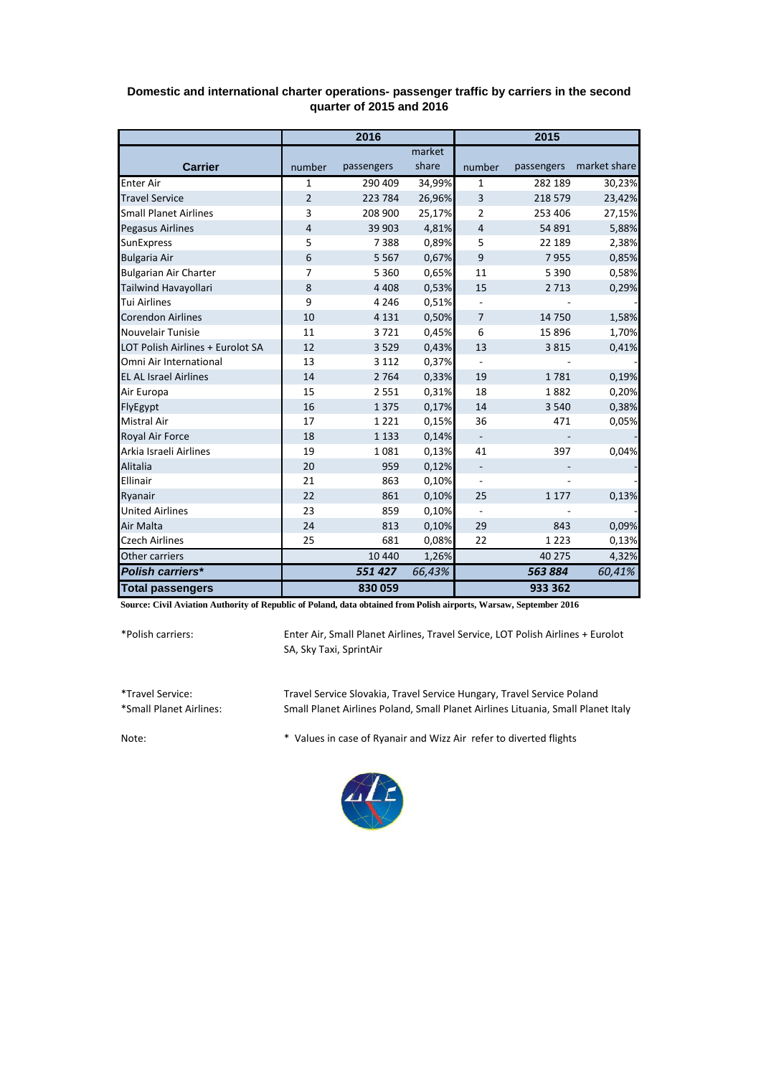|                                  | 2016           |            |        | 2015                     |            |              |
|----------------------------------|----------------|------------|--------|--------------------------|------------|--------------|
|                                  |                |            | market |                          |            |              |
| <b>Carrier</b>                   | number         | passengers | share  | number                   | passengers | market share |
| <b>Enter Air</b>                 | 1              | 290 409    | 34,99% | 1                        | 282 189    | 30,23%       |
| <b>Travel Service</b>            | $\overline{2}$ | 223 784    | 26,96% | 3                        | 218 579    | 23,42%       |
| <b>Small Planet Airlines</b>     | 3              | 208 900    | 25,17% | 2                        | 253 406    | 27,15%       |
| <b>Pegasus Airlines</b>          | 4              | 39 903     | 4,81%  | $\overline{4}$           | 54 891     | 5,88%        |
| SunExpress                       | 5              | 7388       | 0,89%  | 5                        | 22 189     | 2,38%        |
| <b>Bulgaria Air</b>              | 6              | 5 5 6 7    | 0,67%  | 9                        | 7955       | 0,85%        |
| <b>Bulgarian Air Charter</b>     | $\overline{7}$ | 5 3 6 0    | 0,65%  | 11                       | 5 3 9 0    | 0,58%        |
| Tailwind Havayollari             | 8              | 4 4 0 8    | 0,53%  | 15                       | 2 7 1 3    | 0,29%        |
| <b>Tui Airlines</b>              | 9              | 4 2 4 6    | 0,51%  |                          |            |              |
| <b>Corendon Airlines</b>         | 10             | 4 1 3 1    | 0,50%  | $\overline{7}$           | 14 750     | 1,58%        |
| Nouvelair Tunisie                | 11             | 3721       | 0,45%  | 6                        | 15 8 96    | 1,70%        |
| LOT Polish Airlines + Eurolot SA | 12             | 3529       | 0,43%  | 13                       | 3815       | 0,41%        |
| Omni Air International           | 13             | 3 1 1 2    | 0,37%  |                          |            |              |
| <b>EL AL Israel Airlines</b>     | 14             | 2 7 6 4    | 0,33%  | 19                       | 1781       | 0,19%        |
| Air Europa                       | 15             | 2551       | 0,31%  | 18                       | 1882       | 0,20%        |
| FlyEgypt                         | 16             | 1 3 7 5    | 0,17%  | 14                       | 3 5 4 0    | 0,38%        |
| <b>Mistral Air</b>               | 17             | 1221       | 0,15%  | 36                       | 471        | 0,05%        |
| Royal Air Force                  | 18             | 1 1 3 3    | 0,14%  |                          |            |              |
| Arkia Israeli Airlines           | 19             | 1081       | 0,13%  | 41                       | 397        | 0,04%        |
| Alitalia                         | 20             | 959        | 0,12%  | $\overline{\phantom{0}}$ |            |              |
| Ellinair                         | 21             | 863        | 0,10%  | $\overline{\phantom{m}}$ |            |              |
| Ryanair                          | 22             | 861        | 0,10%  | 25                       | 1 1 7 7    | 0,13%        |
| <b>United Airlines</b>           | 23             | 859        | 0,10%  |                          |            |              |
| Air Malta                        | 24             | 813        | 0,10%  | 29                       | 843        | 0,09%        |
| <b>Czech Airlines</b>            | 25             | 681        | 0,08%  | 22                       | 1 2 2 3    | 0,13%        |
| Other carriers                   |                | 10 4 40    | 1,26%  |                          | 40 275     | 4,32%        |
| Polish carriers*                 |                | 551427     | 66,43% |                          | 563884     | 60,41%       |
| <b>Total passengers</b>          |                | 830 059    |        |                          | 933 362    |              |

## **Domestic and international charter operations- passenger traffic by carriers in the second quarter of 2015 and 2016**

**Source: Civil Aviation Authority of Republic of Poland, data obtained from Polish airports, Warsaw, September 2016**

\*Polish carriers:

Enter Air, Small Planet Airlines, Travel Service, LOT Polish Airlines + Eurolot SA, Sky Taxi, SprintAir

\*Travel Service: Travel Service Slovakia, Travel Service Hungary, Travel Service Poland Small Planet Airlines Poland, Small Planet Airlines Lituania, Small Planet Italy

Note: \* Values in case of Ryanair and Wizz Air refer to diverted flights